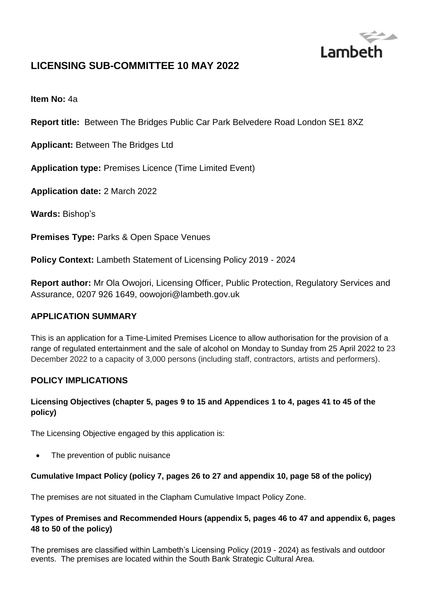

# **LICENSING SUB-COMMITTEE 10 MAY 2022**

**Item No:** 4a

**Report title:** Between The Bridges Public Car Park Belvedere Road London SE1 8XZ

**Applicant:** Between The Bridges Ltd

**Application type:** Premises Licence (Time Limited Event)

**Application date:** 2 March 2022

**Wards:** Bishop's

**Premises Type: Parks & Open Space Venues** 

**Policy Context:** Lambeth Statement of Licensing Policy 2019 - 2024

**Report author:** Mr Ola Owojori, Licensing Officer, Public Protection, Regulatory Services and Assurance, 0207 926 1649, oowojori@lambeth.gov.uk

#### **APPLICATION SUMMARY**

This is an application for a Time-Limited Premises Licence to allow authorisation for the provision of a range of regulated entertainment and the sale of alcohol on Monday to Sunday from 25 April 2022 to 23 December 2022 to a capacity of 3,000 persons (including staff, contractors, artists and performers).

#### **POLICY IMPLICATIONS**

#### **Licensing Objectives (chapter 5, pages 9 to 15 and Appendices 1 to 4, pages 41 to 45 of the policy)**

The Licensing Objective engaged by this application is:

The prevention of public nuisance

#### **Cumulative Impact Policy (policy 7, pages 26 to 27 and appendix 10, page 58 of the policy)**

The premises are not situated in the Clapham Cumulative Impact Policy Zone.

#### **Types of Premises and Recommended Hours (appendix 5, pages 46 to 47 and appendix 6, pages 48 to 50 of the policy)**

The premises are classified within Lambeth's Licensing Policy (2019 - 2024) as festivals and outdoor events. The premises are located within the South Bank Strategic Cultural Area.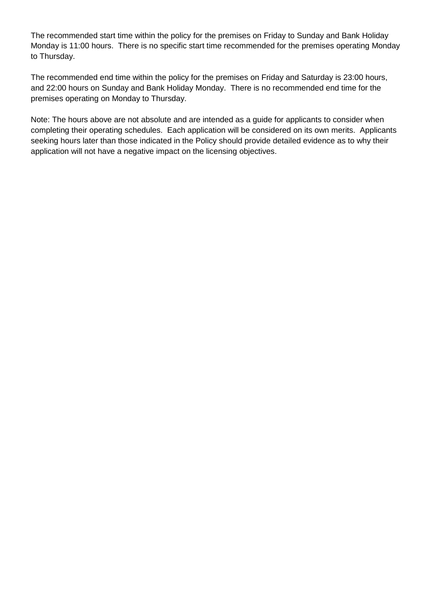The recommended start time within the policy for the premises on Friday to Sunday and Bank Holiday Monday is 11:00 hours. There is no specific start time recommended for the premises operating Monday to Thursday.

The recommended end time within the policy for the premises on Friday and Saturday is 23:00 hours, and 22:00 hours on Sunday and Bank Holiday Monday. There is no recommended end time for the premises operating on Monday to Thursday.

Note: The hours above are not absolute and are intended as a guide for applicants to consider when completing their operating schedules. Each application will be considered on its own merits. Applicants seeking hours later than those indicated in the Policy should provide detailed evidence as to why their application will not have a negative impact on the licensing objectives.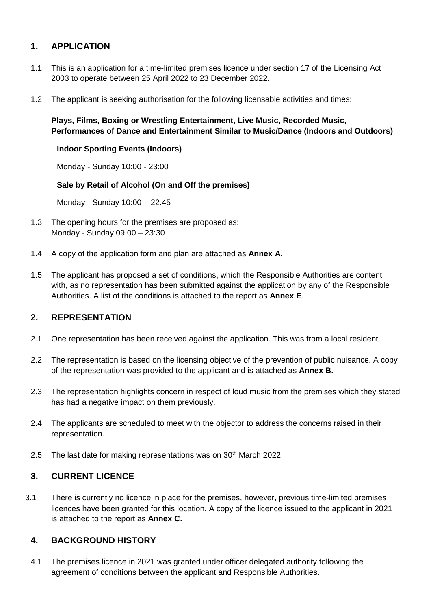## **1. APPLICATION**

- 1.1 This is an application for a time-limited premises licence under section 17 of the Licensing Act 2003 to operate between 25 April 2022 to 23 December 2022.
- 1.2 The applicant is seeking authorisation for the following licensable activities and times:

#### **Plays, Films, Boxing or Wrestling Entertainment, Live Music, Recorded Music, Performances of Dance and Entertainment Similar to Music/Dance (Indoors and Outdoors)**

#### **Indoor Sporting Events (Indoors)**

Monday - Sunday 10:00 - 23:00

#### **Sale by Retail of Alcohol (On and Off the premises)**

Monday - Sunday 10:00 - 22.45

- 1.3 The opening hours for the premises are proposed as: Monday - Sunday 09:00 – 23:30
- 1.4 A copy of the application form and plan are attached as **Annex A.**
- 1.5 The applicant has proposed a set of conditions, which the Responsible Authorities are content with, as no representation has been submitted against the application by any of the Responsible Authorities. A list of the conditions is attached to the report as **Annex E**.

#### **2. REPRESENTATION**

- 2.1 One representation has been received against the application. This was from a local resident.
- 2.2 The representation is based on the licensing objective of the prevention of public nuisance. A copy of the representation was provided to the applicant and is attached as **Annex B.**
- 2.3 The representation highlights concern in respect of loud music from the premises which they stated has had a negative impact on them previously.
- 2.4 The applicants are scheduled to meet with the objector to address the concerns raised in their representation.
- 2.5 The last date for making representations was on  $30<sup>th</sup>$  March 2022.

### **3. CURRENT LICENCE**

3.1 There is currently no licence in place for the premises, however, previous time-limited premises licences have been granted for this location. A copy of the licence issued to the applicant in 2021 is attached to the report as **Annex C.**

#### **4. BACKGROUND HISTORY**

4.1 The premises licence in 2021 was granted under officer delegated authority following the agreement of conditions between the applicant and Responsible Authorities.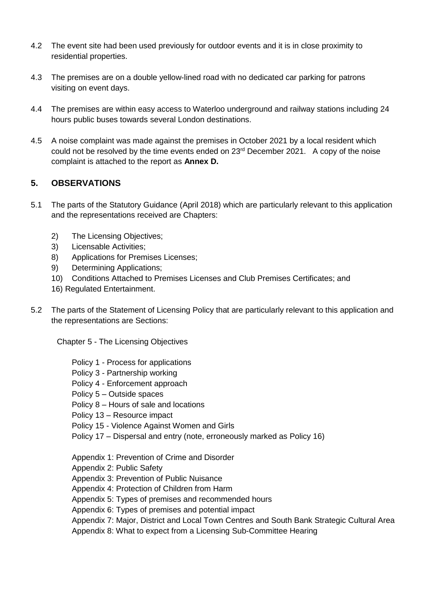- 4.2 The event site had been used previously for outdoor events and it is in close proximity to residential properties.
- 4.3 The premises are on a double yellow-lined road with no dedicated car parking for patrons visiting on event days.
- 4.4 The premises are within easy access to Waterloo underground and railway stations including 24 hours public buses towards several London destinations.
- 4.5 A noise complaint was made against the premises in October 2021 by a local resident which could not be resolved by the time events ended on 23<sup>rd</sup> December 2021. A copy of the noise complaint is attached to the report as **Annex D.**

## **5. OBSERVATIONS**

- 5.1 The parts of the Statutory Guidance (April 2018) which are particularly relevant to this application and the representations received are Chapters:
	- 2) The Licensing Objectives;
	- 3) Licensable Activities;
	- 8) Applications for Premises Licenses;
	- 9) Determining Applications;
	- 10) Conditions Attached to Premises Licenses and Club Premises Certificates; and
	- 16) Regulated Entertainment.
- 5.2 The parts of the Statement of Licensing Policy that are particularly relevant to this application and the representations are Sections:

Chapter 5 - The Licensing Objectives

- Policy 1 Process for applications
- Policy 3 Partnership working
- Policy 4 Enforcement approach
- Policy 5 Outside spaces
- Policy 8 Hours of sale and locations
- Policy 13 Resource impact
- Policy 15 Violence Against Women and Girls
- Policy 17 Dispersal and entry (note, erroneously marked as Policy 16)
- Appendix 1: Prevention of Crime and Disorder

Appendix 2: Public Safety

- Appendix 3: Prevention of Public Nuisance
- Appendix 4: Protection of Children from Harm
- Appendix 5: Types of premises and recommended hours
- Appendix 6: Types of premises and potential impact
- Appendix 7: Major, District and Local Town Centres and South Bank Strategic Cultural Area

Appendix 8: What to expect from a Licensing Sub-Committee Hearing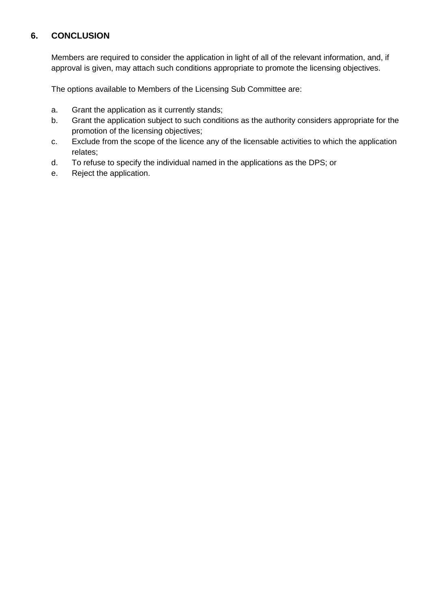## **6. CONCLUSION**

Members are required to consider the application in light of all of the relevant information, and, if approval is given, may attach such conditions appropriate to promote the licensing objectives.

The options available to Members of the Licensing Sub Committee are:

- a. Grant the application as it currently stands;
- b. Grant the application subject to such conditions as the authority considers appropriate for the promotion of the licensing objectives;
- c. Exclude from the scope of the licence any of the licensable activities to which the application relates;
- d. To refuse to specify the individual named in the applications as the DPS; or
- e. Reject the application.